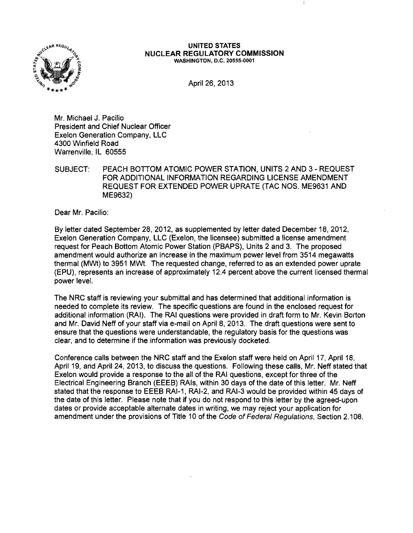

#### UNITED STATES NUCLEAR REGULATORY COMMISSION WASHINGTON, D.C. 20555-0001

April 26, 2013

Mr. Michael J. Pacilio President and Chief Nuclear Officer Exelon Generation Company, LLC 4300 Winfield Road Warrenville, IL 60555

SUBJECT: PEACH BOTTOM ATOMIC POWER STATION, UNITS 2 AND 3 - REQUEST FOR ADDITIONAL INFORMATION REGARDING LICENSE AMENDMENT REQUEST FOR EXTENDED POWER UPRATE (TAC NOS. ME9631 AND ME9632)

Dear Mr. Pacilio:

By letter dated September 28,2012, as supplemented by letter dated December 18, 2012, Exelon Generation Company, LLC (Exelon, the licensee) submitted a license amendment request for Peach Bottom Atomic Power Station (PBAPS), Units 2 and 3. The proposed amendment would authorize an increase in the maximum power level from 3514 megawatts thermal (Mwt) to 3951 MWt. The requested change, referred to as an extended power uprate (EPU), represents an increase of approximately 12.4 percent above the current licensed thermal power level.

The NRC staff is reviewing your submittal and has determined that additional information is needed to complete its review. The specific questions are found in the enclosed request for additional information (RAI). The RAI questions were provided in draft form to Mr. Kevin Borton and Mr. David Neff of your staff via e-mail on April 8, 2013. The draft questions were sent to ensure that the questions were understandable, the regulatory basis for the questions was clear, and to determine if the information was previously docketed.

Conference calls between the NRC staff and the Exelon staff were held on April 17, April 18, April 19, and April 24, 2013, to discuss the questions. Following these calls, Mr. Neff stated that Exelon would provide a response to the all of the RAI questions, except for three of the Electrical Engineering Branch (EEEB) RAls, within 30 days of the date of this letter. Mr. Neff stated that the response to EEEB RAI-1, RAI-2, and RAI-3 would be provided within 45 days of the date of this letter. Please note that if you do not respond to this letter by the agreed-upon dates or provide acceptable alternate dates in writing, we may reject your application for amendment under the provisions of Title 10 of the Code of Federal Regulations, Section 2.108.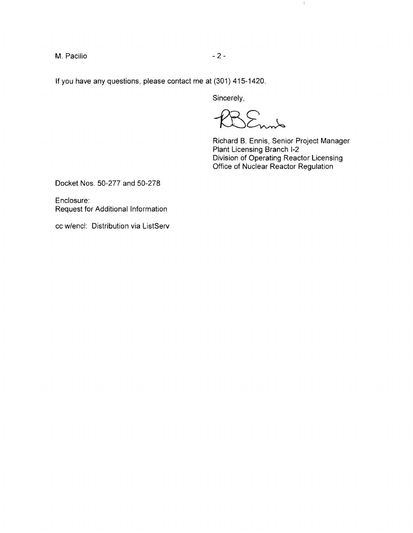M. Pacilio  $-2$  -

**If** you have any questions, please contact me at (301) 415-1420.

Sincerely,

Lm

Richard B. Ennis, Senior Project Manager Plant Licensing Branch 1-2 Division of Operating Reactor Licensing Office of Nuclear Reactor Regulation

 $\mathbb{I}$ 

Docket Nos. 50-277 and 50-278

Enclosure: Request for Additional Information

cc w/encl: Distribution via ListServ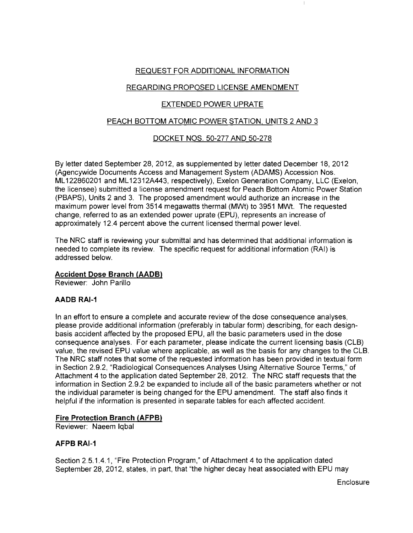# REQUEST FOR ADDITIONAL INFORMATION

# REGARDING PROPOSED LICENSE AMENDMENT

# EXTENDED POWER UPRATE

# PEACH BOTTOM ATOMIC POWER STATION, UNITS 2 AND 3

# DOCKET NOS. 50-277 AND 50-278

By letter dated September 28,2012, as supplemented by letter dated December 18,2012 (Agencywide Documents Access and Management System (ADAMS) Accession Nos. ML 122860201 and ML 12312A443, respectively), Exelon Generation Company, LLC (Exelon, the licensee) submitted a license amendment request for Peach Bottom Atomic Power Station (PBAPS), Units 2 and 3. The proposed amendment would authorize an increase in the maximum power level from 3514 megawatts thermal (MWt) to 3951 MWt. The requested change, referred to as an extended power uprate (EPU), represents an increase of approximately 12.4 percent above the current licensed thermal power level.

The NRC staff is reviewing your submittal and has determined that additional information is needed to complete its review. The specific request for additional information (RAI) is addressed below.

# Accident Dose Branch (AADB)

Reviewer: John Parillo

# AADB RAI-1

In an effort to ensure a complete and accurate review of the dose consequence analyses, please provide additional information (preferably in tabular form) describing, for each designbasis accident affected by the proposed EPU, all the basic parameters used in the dose consequence analyses. For each parameter, please indicate the current licensing basis (CLB) value, the revised EPU value where applicable, as well as the basis for any changes to the CLB. The NRC staff notes that some of the requested information has been provided in textual form in Section 2.9.2, "Radiological Consequences Analyses Using Alternative Source Terms," of Attachment 4 to the application dated September 28,2012. The NRC staff requests that the information in Section 2.9.2 be expanded to include all of the basic parameters whether or not the individual parameter is being changed for the EPU amendment. The staff also finds it helpful if the information is presented in separate tables for each affected accident.

# Fire Protection Branch (AFPB)

Reviewer: Naeem Iqbal

# AFPB RAI-1

Section 2.5.1.4.1, "Fire Protection Program," of Attachment 4 to the application dated September 28, 2012, states, in part, that "the higher decay heat associated with EPU may

**Enclosure**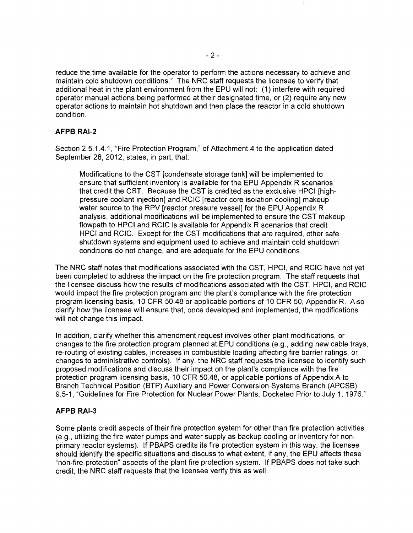reduce the time available for the operator to perform the actions necessary to achieve and maintain cold shutdown conditions." The NRC staff requests the licensee to verify that additional heat in the plant environment from the EPU will not: (1) interfere with required operator manual actions being performed at their designated time, or (2) require any new operator actions to maintain hot shutdown and then place the reactor in a cold shutdown condition.

# AFPB RAI-2

Section 2.5.1.4.1, "Fire Protection Program," of Attachment 4 to the application dated September 28, 2012, states, in part, that:

Modifications to the CST [condensate storage tank] will be implemented to ensure that sufficient inventory is available for the EPU Appendix R scenarios that credit the CST. Because the CST is credited as the exclusive HPCI [highpressure coolant injection] and RCIC [reactor core isolation cooling] makeup water source to the RPV [reactor pressure vessel] for the EPU Appendix R analysis, additional modifications will be implemented to ensure the CST makeup flowpath to HPCI and RCIC is available for Appendix R scenarios that credit HPCI and RCIC. Except for the CST modifications that are required, other safe shutdown systems and equipment used to achieve and maintain cold shutdown conditions do not change, and are adequate for the EPU conditions.

The NRC staff notes that modifications associated with the CST, HPCI, and RCIC have not yet been completed to address the impact on the fire protection program. The staff requests that the licensee discuss how the results of modifications associated with the CST, HPCI, and RCIC would impact the fire protection program and the plant's compliance with the fire protection program licensing basis, 10 CFR 50.48 or applicable portions of 10 CFR 50, Appendix R. Also clarify how the licensee will ensure that, once developed and implemented, the modifications will not change this impact.

In addition, clarify whether this amendment request involves other plant modifications, or changes to the fire protection program planned at EPU conditions (e.g., adding new cable trays, re-routing of existing cables, increases in combustible loading affecting fire barrier ratings, or changes to administrative controls). If any, the NRC staff requests the licensee to identify such proposed modifications and discuss their impact on the plant's compliance with the fire protection program licensing basis, 10 CFR 50.48, or applicable portions of Appendix A to Branch Technical Position (BTP) Auxiliary and Power Conversion Systems Branch (APCSB) 9.5-1, "Guidelines for Fire Protection for Nuclear Power Plants, Docketed Prior to July 1,1976."

## AFPB RAI-3

Some plants credit aspects of their fire protection system for other than fire protection activities (e.g., utilizing the fire water pumps and water supply as backup cooling or inventory for nonprimary reactor systems). If PBAPS credits its fire protection system in this way, the licensee should identify the specific situations and discuss to what extent, if any, the EPU affects these "non-fire-protection" aspects of the plant fire protection system. If PBAPS does not take such credit, the NRC staff requests that the licensee verify this as well.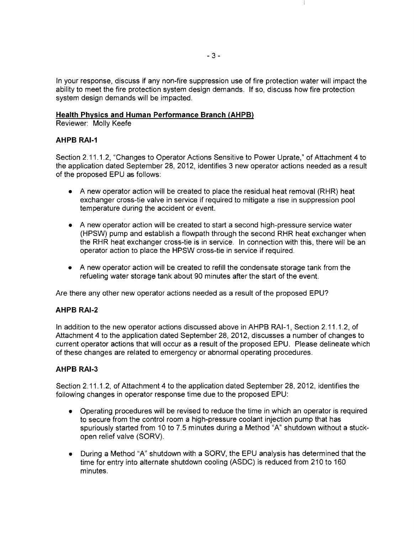In your response, discuss if any non-fire suppression use of fire protection water will impact the ability to meet the fire protection system design demands. If so, discuss how fire protection system design demands will be impacted.

## **Health Physics and Human Performance Branch (AHPB)**

Reviewer: Molly Keefe

# **AHPB RAI-1**

Section 2.11.1.2, "Changes to Operator Actions Sensitive to Power Uprate," of Attachment 4 to the application dated September 28, 2012, identifies 3 new operator actions needed as a result of the proposed EPU as follows:

- A new operator action will be created to place the residual heat removal (RHR) heat exchanger cross-tie valve in service if required to mitigate a rise in suppression pool temperature during the accident or event.
- A new operator action will be created to start a second high-pressure service water (HPSW) pump and establish a flowpath through the second RHR heat exchanger when the RHR heat exchanger cross-tie is in service. In connection with this, there will be an operator action to place the HPSW cross-tie in service if required.
- A new operator action will be created to refill the condensate storage tank from the refueling water storage tank about 90 minutes after the start of the event.

Are there any other new operator actions needed as a result of the proposed EPU?

# **AHPB RAI-2**

In addition to the new operator actions discussed above in AHPB RAI-1, Section 2.11.1.2, of Attachment 4 to the application dated September 28, 2012, discusses a number of changes to current operator actions that will occur as a result of the proposed EPU. Please delineate which of these changes are related to emergency or abnormal operating procedures.

# **AHPB RAI-3**

Section 2.11.1.2, of Attachment 4 to the application dated September 28, 2012, identifies the following changes in operator response time due to the proposed EPU:

- Operating procedures will be revised to reduce the time in which an operator is required to secure from the control room a high-pressure coolant injection pump that has spuriously started from 10 to 7.5 minutes during a Method "A" shutdown without a stuckopen relief valve (SORV).
- During a Method "A" shutdown with a SORV, the EPU analysis has determined that the time for entry into alternate shutdown cooling (ASDC) is reduced from 210 to 160 minutes.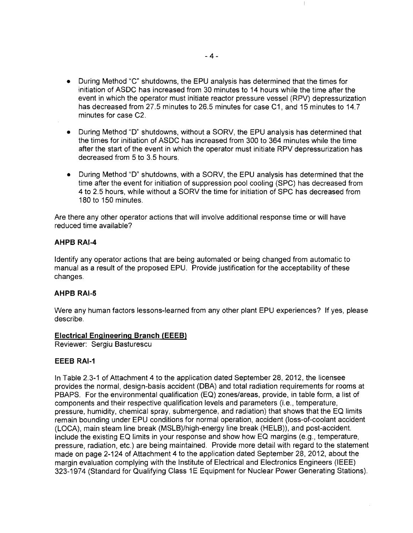- During Method "C" shutdowns, the EPU analysis has determined that the times for initiation of ASDC has increased from 30 minutes to 14 hours while the time after the event in which the operator must initiate reactor pressure vessel (RPV) depressurization has decreased from 27.5 minutes to 26.5 minutes for case C1, and 15 minutes to 14.7 minutes for case C2.
- During Method "D" shutdowns, without a SORV, the EPU analysis has determined that the times for initiation of ASDC has increased from 300 to 364 minutes while the time after the start of the event in which the operator must initiate RPV depressurization has decreased from 5 to 3.5 hours.
- During Method "D" shutdowns, with a SORV, the EPU analysis has determined that the time after the event for initiation of suppression pool cooling (SPC) has decreased from 4 to 2.5 hours, while without a SORV the time for initiation of SPC has decreased from 180 to 150 minutes.

Are there any other operator actions that will involve additional response time or will have reduced time available?

## **AHPB RAI-4**

Identify any operator actions that are being automated or being changed from automatic to manual as a result of the proposed EPU. Provide justification for the acceptability of these changes.

## **AHPB RAI-5**

Were any human factors lessons-learned from any other plant EPU experiences? If yes, please describe.

## **Electrical Engineering Branch (EEEB)**

Reviewer: Sergiu Basturescu

## **EEEB RAI-1**

In Table 2.3-1 of Attachment 4 to the application dated September 28,2012, the licensee provides the normal, design-basis accident (DBA) and total radiation requirements for rooms at PBAPS. For the environmental qualification (EQ) zones/areas, provide, in table form, a list of components and their respective qualification levels and parameters (i.e., temperature, pressure, humidity, chemical spray, submergence, and radiation) that shows that the EQ limits remain bounding under EPU conditions for normal operation, accident (Ioss-of-coolant accident (LOCA), main steam line break (MSLB)/high-energy line break (HELB)), and post-accident. Include the existing EQ limits in your response and show how EQ margins (e.g., temperature, pressure, radiation, etc.) are being maintained. Provide more detail with regard to the statement made on page 2-124 of Attachment 4 to the application dated September 28,2012, about the margin evaluation complying with the Institute of Electrical and Electronics Engineers (IEEE) 323-1974 (Standard for Qualifying Class 1E Equipment for Nuclear Power Generating Stations).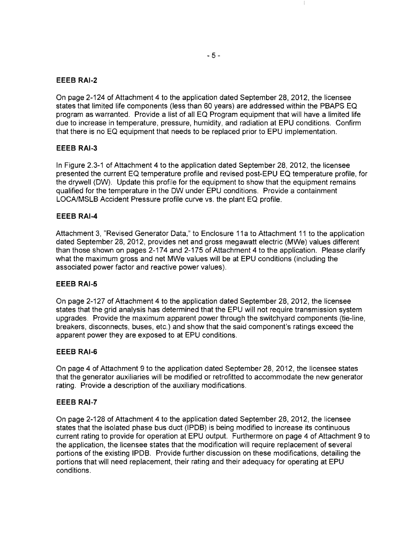## **EEEB RAI-2**

On page 2-124 of Attachment 4 to the application dated September 28,2012, the licensee states that limited life components (less than 60 years) are addressed within the PBAPS EO program as warranted. Provide a list of all EO Program equipment that will have a limited life due to increase in temperature, pressure, humidity, and radiation at EPU conditions. Confirm that there is no EO equipment that needs to be replaced prior to EPU implementation.

### **EEEB RAI-3**

In Figure 2.3-1 of Attachment 4 to the application dated September 28,2012, the licensee presented the current EO temperature profile and revised post-EPU EO temperature profile, for the drywell (DW). Update this profile for the equipment to show that the equipment remains qualified for the temperature in the DW under EPU conditions. Provide a containment LOCAlMSLB Accident Pressure profile curve vs. the plant EO profile.

### **EEEB RAI-4**

Attachment 3, "Revised Generator Data," to Enclosure 11 a to Attachment 11 to the application dated September 28,2012, provides net and gross megawatt electric (MWe) values different than those shown on pages 2-174 and 2-175 of Attachment 4 to the application. Please clarify what the maximum gross and net MWe values will be at EPU conditions (including the associated power factor and reactive power values).

### **EEEB RAI-5**

On page 2-127 of Attachment 4 to the application dated September 28,2012, the licensee states that the grid analysis has determined that the EPU will not require transmission system upgrades. Provide the maximum apparent power through the switchyard components (tie-line, breakers, disconnects, buses, etc.) and show that the said component's ratings exceed the apparent power they are exposed to at EPU conditions.

### **EEEB RAI-6**

On page 4 of Attachment 9 to the application dated September 28, 2012, the licensee states that the generator auxiliaries will be modified or retrofitted to accommodate the new generator rating. Provide a description of the auxiliary modifications.

#### **EEEB RAI-7**

On page 2-128 of Attachment 4 to the application dated September 28,2012, the licensee states that the isolated phase bus duct (IPDB) is being modified to increase its continuous current rating to provide for operation at EPU output. Furthermore on page 4 of Attachment 9 to the application, the licensee states that the modification will require replacement of several portions of the existing IPDB. Provide further discussion on these modifications, detailing the portions that will need replacement, their rating and their adequacy for operating at EPU conditions.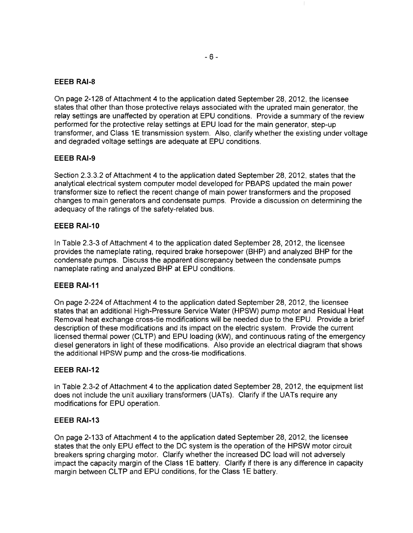## **EEEB RAI-8**

On page 2-128 of Attachment 4 to the application dated September 28,2012, the licensee states that other than those protective relays associated with the uprated main generator, the relay settings are unaffected by operation at EPU conditions. Provide a summary of the review performed for the protective relay settings at EPU load for the main generator, step-up transformer, and Class 1E transmission system. Also, clarify whether the existing under voltage and degraded voltage settings are adequate at EPU conditions.

### **EEEB RAI-9**

Section 2.3.3.2 of Attachment 4 to the application dated September 28,2012, states that the analytical electrical system computer model developed for PBAPS updated the main power transformer size to reflect the recent change of main power transformers and the proposed changes to main generators and condensate pumps. Provide a discussion on determining the adequacy of the ratings of the safety-related bus.

### **EEEB RAI-10**

In Table 2.3-3 of Attachment 4 to the application dated September 28,2012, the licensee provides the nameplate rating, required brake horsepower (BHP) and analyzed BHP for the condensate pumps. Discuss the apparent discrepancy between the condensate pumps nameplate rating and analyzed BHP at EPU conditions.

## **EEEB RAI-11**

On page 2-224 of Attachment 4 to the application dated September 28, 2012, the licensee states that an additional High-Pressure Service Water (HPSW) pump motor and Residual Heat Removal heat exchange cross-tie modifications will be needed due to the EPU. Provide a brief description of these modifications and its impact on the electric system. Provide the current licensed thermal power (CLTP) and EPU loading (kW), and continuous rating of the emergency diesel generators in light of these modifications. Also provide an electrical diagram that shows the additional HPSW pump and the cross-tie modifications.

#### **EEEB RAI-12**

In Table 2.3-2 of Attachment 4 to the application dated September 28, 2012, the equipment list does not include the unit auxiliary transformers (UATs). Clarify if the UATs require any modifications for EPU operation.

#### **EEEB RAI-13**

On page 2-133 of Attachment 4 to the application dated September 28, 2012, the licensee states that the only EPU effect to the DC system is the operation of the HPSW motor circuit breakers spring charging motor. Clarify whether the increased DC load will not adversely impact the capacity margin of the Class 1E battery. Clarify if there is any difference in capacity margin between CLTP and EPU conditions, for the Class 1E battery.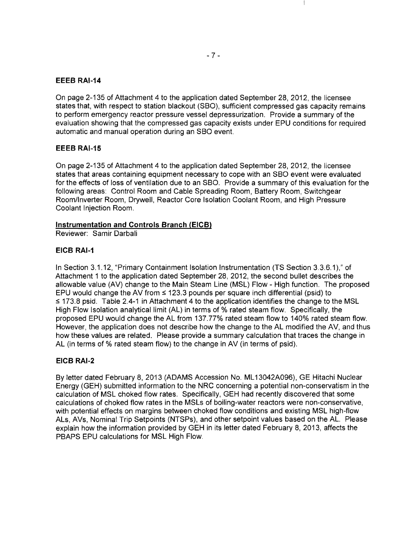## **EEEB** RAI-14

On page 2-135 of Attachment 4 to the application dated September 28, 2012, the licensee states that, with respect to station blackout (SBO), sufficient compressed gas capacity remains to perform emergency reactor pressure vessel depressurization. Provide a summary of the evaluation showing that the compressed gas capacity exists under EPU conditions for required automatic and manual operation during an SBO event.

## **EEEB** RAI-15

On page 2-135 of Attachment 4 to the application dated September 28,2012, the licensee states that areas containing equipment necessary to cope with an SBO event were evaluated for the effects of loss of ventilation due to an SBO. Provide a summary of this evaluation for the following areas: Control Room and Cable Spreading Room, Battery Room, Switchgear Room/Inverter Room, Drywell, Reactor Core Isolation Coolant Room, and High Pressure Coolant Injection Room.

## Instrumentation and Controls Branch (EICB)

Reviewer: Samir Darbali

## EICB RAI-1

In Section 3.1.12, "Primary Containment Isolation Instrumentation (TS Section 3.3.6.1)," of Attachment 1 to the application dated September 28, 2012, the second bullet describes the allowable value (AV) change to the Main Steam Line (MSL) Flow - High function. The proposed EPU would change the AV from  $\leq$  123.3 pounds per square inch differential (psid) to  $\leq$  173.8 psid. Table 2.4-1 in Attachment 4 to the application identifies the change to the MSL High Flow Isolation analytical limit (AL) in terms of % rated steam flow. Specifically, the proposed EPU would change the AL from 137.77% rated steam flow to 140% rated steam flow. However, the application does not describe how the change to the AL modified the AV, and thus how these values are related. Please provide a summary calculation that traces the change in AL (in terms of % rated steam flow) to the change in AV (in terms of psid).

# EICB RAI-2

By letter dated February 8, 2013 (ADAMS Accession No. ML 13042A096), GE Hitachi Nuclear Energy (GEH) submitted information to the NRC concerning a potential non-conservatism in the calculation of MSL choked flow rates. Specifically, GEH had recently discovered that some calculations of choked flow rates in the MSLs of boiling-water reactors were non-conservative, with potential effects on margins between choked flow conditions and existing MSL high-flow ALs, AVs, Nominal Trip Setpoints (NTSPs), and other setpoint values based on the AL. Please explain how the information provided by GEH in its letter dated February 8, 2013, affects the PBAPS EPU calculations for MSL High Flow.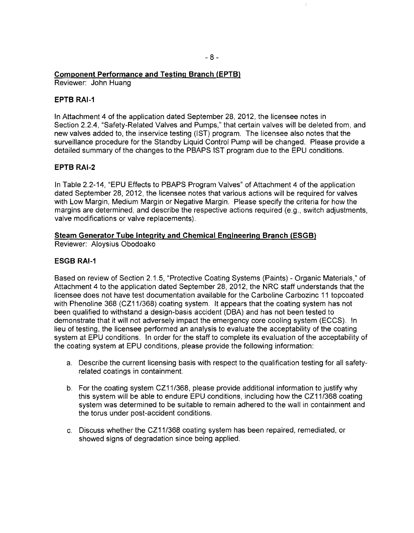# **Component Performance and Testing Branch (EPTB)**

Reviewer: John Huang

## **EPTB RAI-1**

**In** Attachment 4 of the application dated September 28,2012, the licensee notes in Section 2.2.4, "Safety-Related Valves and Pumps," that certain valves will be deleted from, and new valves added to, the inservice testing (1ST) program. The licensee also notes that the surveillance procedure for the Standby Liquid Control Pump will be changed. Please provide a detailed summary of the changes to the PBAPS 1ST program due to the EPU conditions.

## **EPTB RAI-2**

In Table 2.2-14, "EPU Effects to PBAPS Program Valves" of Attachment 4 of the application dated September 28,2012, the licensee notes that various actions will be required for valves with Low Margin, Medium Margin or Negative Margin. Please specify the criteria for how the margins are determined, and describe the respective actions required (e.g., switch adjustments, valve modifications or valve replacements).

# **Steam Generator Tube Integrity and Chemical Engineering Branch (ESGB)**

Reviewer: Aloysius Obodoako

## **ESGB RAI-1**

Based on review of Section 2.1.5, "Protective Coating Systems (Paints) - Organic Materials," of Attachment 4 to the application dated September 28,2012, the NRC staff understands that the licensee does not have test documentation available for the Carboline Carbozinc 11 topcoated with Phenoline 368 (CZ11/368) coating system. It appears that the coating system has not been qualified to withstand a design-basis accident (DBA) and has not been tested to demonstrate that it will not adversely impact the emergency core cooling system (ECCS). In lieu of testing, the licensee performed an analysis to evaluate the acceptability of the coating system at EPU conditions. In order for the staff to complete its evaluation of the acceptability of the coating system at EPU conditions, please provide the following information:

- a. Describe the current licensing basis with respect to the qualification testing for all safetyrelated coatings in containment.
- b. For the coating system CZ11/368, please provide additional information to justify why this system will be able to endure EPU conditions, including how the CZ11/368 coating system was determined to be suitable to remain adhered to the wall in containment and the torus under post-accident conditions.
- c. Discuss whether the CZ11/368 coating system has been repaired, remediated, or showed signs of degradation since being applied.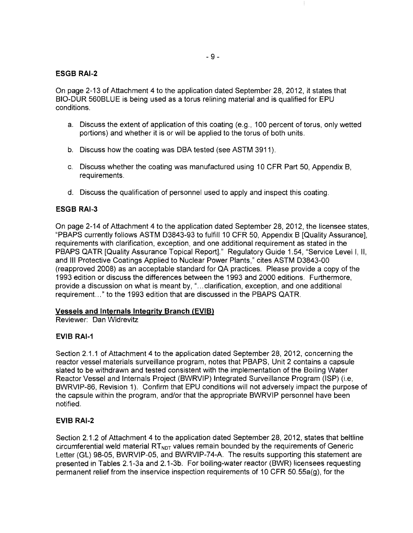## **ESGB RAI-2**

On page 2-13 of Attachment 4 to the application dated September 28,2012, it states that BIO-DUR 560BLUE is being used as a torus relining material and is qualified for EPU conditions.

- a. Discuss the extent of application of this coating (e.g., 100 percent of torus, only wetted portions) and whether it is or will be applied to the torus of both units.
- b. Discuss how the coating was DBA tested (see ASTM 3911).
- c. Discuss whether the coating was manufactured using 10 CFR Part 50, Appendix B, requirements.
- d. Discuss the qualification of personnel used to apply and inspect this coating.

## **ESGB RAI-3**

On page 2-14 of Attachment 4 to the application dated September 28,2012, the licensee states, "PBAPS currently follows ASTM D3843-93 to fulfill 10 CFR 50, Appendix B [Quality Assurance], requirements with clarification, exception, and one additional requirement as stated in the PBAPS QATR [Quality Assurance Topical Report]." Regulatory Guide 1.54, "Service Levell, II, and III Protective Coatings Applied to Nuclear Power Plants," cites ASTM D3843-00 (reapproved 2008) as an acceptable standard for QA practices. Please provide a copy of the 1993 edition or discuss the differences between the 1993 and 2000 editions. Furthermore, provide a discussion on what is meant by, " ... clarification, exception, and one additional requirement. .. " to the 1993 edition that are discussed in the PBAPS QATR.

## **Vessels and Internals Integrity Branch (EVIB)**

Reviewer: Dan Widrevitz

## **EVIB RAI-1**

Section 2.1.1 of Attachment 4 to the application dated September 28, 2012, concerning the reactor vessel materials surveillance program, notes that PBAPS, Unit 2 contains a capsule slated to be withdrawn and tested consistent with the implementation of the Boiling Water Reactor Vessel and Internals Project (BWRVIP) Integrated Surveillance Program (ISP) (Le, BWRVIP-86, Revision 1). Confirm that EPU conditions will not adversely impact the purpose of the capsule within the program, and/or that the appropriate BWRVIP personnel have been notified.

## **EVIB RAI-2**

Section 2.1.2 of Attachment 4 to the application dated September 28, 2012, states that beltline circumferential weld material  $RT_{NOT}$  values remain bounded by the requirements of Generic Letter (GL) 98-05, BWRVIP-05, and BWRVIP-74-A. The results supporting this statement are presented in Tables 2.1-3a and 2.1-3b. For boiling-water reactor (BWR) licensees requesting permanent relief from the inservice inspection requirements of 10 CFR 50.55a(g), for the

Ť.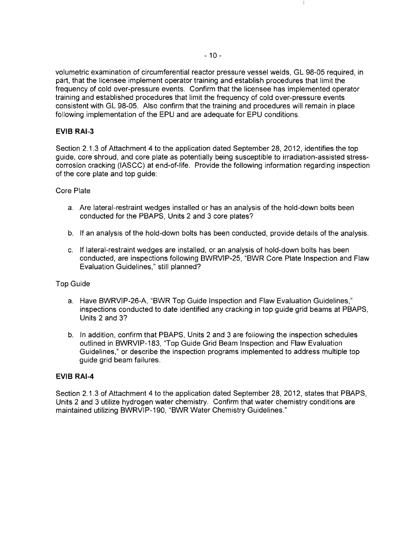volumetric examination of circumferential reactor pressure vessel welds, GL 98-05 required, in part, that the licensee implement operator training and establish procedures that limit the frequency of cold over-pressure events. Confirm that the licensee has implemented operator training and established procedures that limit the frequency of cold over-pressure events consistent with GL 98-05. Also confirm that the training and procedures will remain in place following implementation of the EPU and are adequate for EPU conditions.

## **EVIB RAI-3**

Section 2.1.3 of Attachment 4 to the application dated September 28, 2012, identifies the top guide, core shroud, and core plate as potentially being susceptible to irradiation-assisted stresscorrosion cracking (IASCC) at end-of-life. Provide the following information regarding inspection of the core plate and top guide:

### Core Plate

- a. Are lateral-restraint wedges installed or has an analysis of the hold-down bolts been conducted for the PBAPS, Units 2 and 3 core plates?
- b. If an analysis of the hold-down bolts has been conducted, provide details of the analysis.
- c. If lateral-restraint wedges are installed, or an analysis of hold-down bolts has been conducted, are inspections following BWRVIP-25, "BWR Core Plate Inspection and Flaw Evaluation Guidelines," still planned?

#### Top Guide

- a. Have BWRVIP-26-A, "BWR Top Guide Inspection and Flaw Evaluation Guidelines," inspections conducted to date identified any cracking in top guide grid beams at PBAPS, Units 2 and 3?
- b. In addition, confirm that PBAPS, Units 2 and 3 are following the inspection schedules outlined in BWRVIP-183, "Top Guide Grid Beam Inspection and Flaw Evaluation Guidelines," or describe the inspection programs implemented to address multiple top guide grid beam failures.

#### **EVIB RAI-4**

Section 2.1.3 of Attachment 4 to the application dated September 28, 2012, states that PBAPS, Units 2 and 3 utilize hydrogen water chemistry. Confirm that water chemistry conditions are maintained utilizing BWRVIP-190, "BWR Water Chemistry Guidelines."